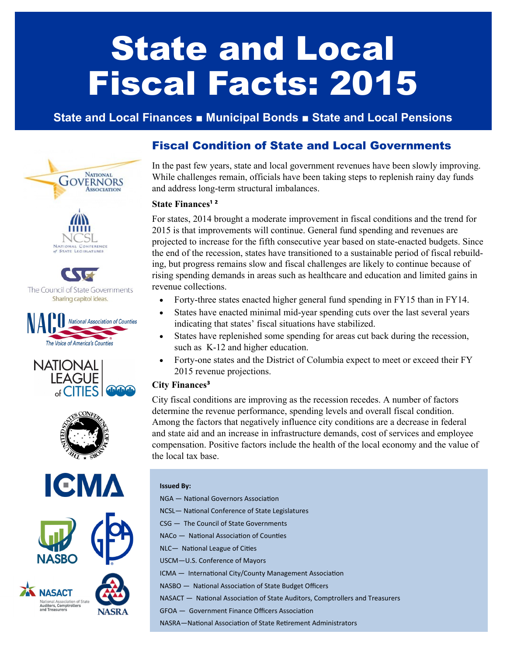# State and Local Fiscal Facts: 2015

# **State and Local Finances ■ Municipal Bonds ■ State and Local Pensions**











## Fiscal Condition of State and Local Governments

In the past few years, state and local government revenues have been slowly improving. While challenges remain, officials have been taking steps to replenish rainy day funds and address long-term structural imbalances.

#### **State Finances¹ ²**

For states, 2014 brought a moderate improvement in fiscal conditions and the trend for 2015 is that improvements will continue. General fund spending and revenues are projected to increase for the fifth consecutive year based on state-enacted budgets. Since the end of the recession, states have transitioned to a sustainable period of fiscal rebuilding, but progress remains slow and fiscal challenges are likely to continue because of rising spending demands in areas such as healthcare and education and limited gains in revenue collections.

- Forty-three states enacted higher general fund spending in FY15 than in FY14.
- States have enacted minimal mid-year spending cuts over the last several years indicating that states' fiscal situations have stabilized.
- States have replenished some spending for areas cut back during the recession, such as K-12 and higher education.
- Forty-one states and the District of Columbia expect to meet or exceed their FY 2015 revenue projections.

## **City Finances³**

City fiscal conditions are improving as the recession recedes. A number of factors determine the revenue performance, spending levels and overall fiscal condition. Among the factors that negatively influence city conditions are a decrease in federal and state aid and an increase in infrastructure demands, cost of services and employee compensation. Positive factors include the health of the local economy and the value of the local tax base.

#### **Issued By:**

- NGA National Governors Association
- NCSL— National Conference of State Legislatures
- CSG The Council of State Governments
- NACo National Association of Counties
- NLC— National League of Cities
- USCM—U.S. Conference of Mayors
- ICMA International City/County Management Association
- NASBO National Association of State Budget Officers
- NASACT National Association of State Auditors, Comptrollers and Treasurers
- GFOA Government Finance Officers Association

NASRA—National Association of State Retirement Administrators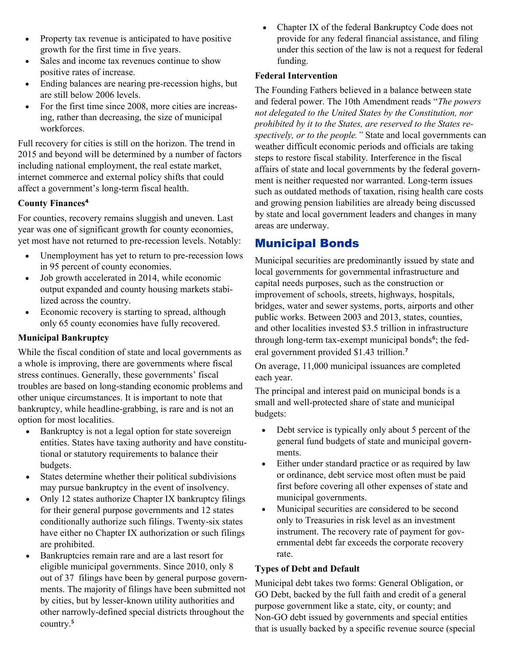- Property tax revenue is anticipated to have positive growth for the first time in five years.
- Sales and income tax revenues continue to show positive rates of increase.
- Ending balances are nearing pre-recession highs, but are still below 2006 levels.
- For the first time since 2008, more cities are increasing, rather than decreasing, the size of municipal workforces.

Full recovery for cities is still on the horizon. The trend in 2015 and beyond will be determined by a number of factors including national employment, the real estate market, internet commerce and external policy shifts that could affect a government's long-term fiscal health.

## **County Finances⁴**

For counties, recovery remains sluggish and uneven. Last year was one of significant growth for county economies, yet most have not returned to pre-recession levels. Notably:

- Unemployment has yet to return to pre-recession lows in 95 percent of county economies.
- Job growth accelerated in 2014, while economic output expanded and county housing markets stabilized across the country.
- Economic recovery is starting to spread, although only 65 county economies have fully recovered.

### **Municipal Bankruptcy**

While the fiscal condition of state and local governments as a whole is improving, there are governments where fiscal stress continues. Generally, these governments' fiscal troubles are based on long-standing economic problems and other unique circumstances. It is important to note that bankruptcy, while headline-grabbing, is rare and is not an option for most localities.

- Bankruptcy is not a legal option for state sovereign entities. States have taxing authority and have constitutional or statutory requirements to balance their budgets.
- States determine whether their political subdivisions may pursue bankruptcy in the event of insolvency.
- Only 12 states authorize Chapter IX bankruptcy filings for their general purpose governments and 12 states conditionally authorize such filings. Twenty-six states have either no Chapter IX authorization or such filings are prohibited.
- Bankruptcies remain rare and are a last resort for eligible municipal governments. Since 2010, only 8 out of 37 filings have been by general purpose governments. The majority of filings have been submitted not by cities, but by lesser-known utility authorities and other narrowly-defined special districts throughout the country.<sup>5</sup>

 Chapter IX of the federal Bankruptcy Code does not provide for any federal financial assistance, and filing under this section of the law is not a request for federal funding.

## **Federal Intervention**

The Founding Fathers believed in a balance between state and federal power. The 10th Amendment reads "*The powers not delegated to the United States by the Constitution, nor prohibited by it to the States, are reserved to the States respectively, or to the people."* State and local governments can weather difficult economic periods and officials are taking steps to restore fiscal stability. Interference in the fiscal affairs of state and local governments by the federal government is neither requested nor warranted. Long-term issues such as outdated methods of taxation, rising health care costs and growing pension liabilities are already being discussed by state and local government leaders and changes in many areas are underway.

# Municipal Bonds

Municipal securities are predominantly issued by state and local governments for governmental infrastructure and capital needs purposes, such as the construction or improvement of schools, streets, highways, hospitals, bridges, water and sewer systems, ports, airports and other public works. Between 2003 and 2013, states, counties, and other localities invested \$3.5 trillion in infrastructure through long-term tax-exempt municipal bonds<sup>6</sup>; the federal government provided \$1.43 trillion.<sup>7</sup>

On average, 11,000 municipal issuances are completed each year.

The principal and interest paid on municipal bonds is a small and well-protected share of state and municipal budgets:

- Debt service is typically only about 5 percent of the general fund budgets of state and municipal governments.
- Either under standard practice or as required by law or ordinance, debt service most often must be paid first before covering all other expenses of state and municipal governments.
- Municipal securities are considered to be second only to Treasuries in risk level as an investment instrument. The recovery rate of payment for governmental debt far exceeds the corporate recovery rate.

## **Types of Debt and Default**

Municipal debt takes two forms: General Obligation, or GO Debt, backed by the full faith and credit of a general purpose government like a state, city, or county; and Non-GO debt issued by governments and special entities that is usually backed by a specific revenue source (special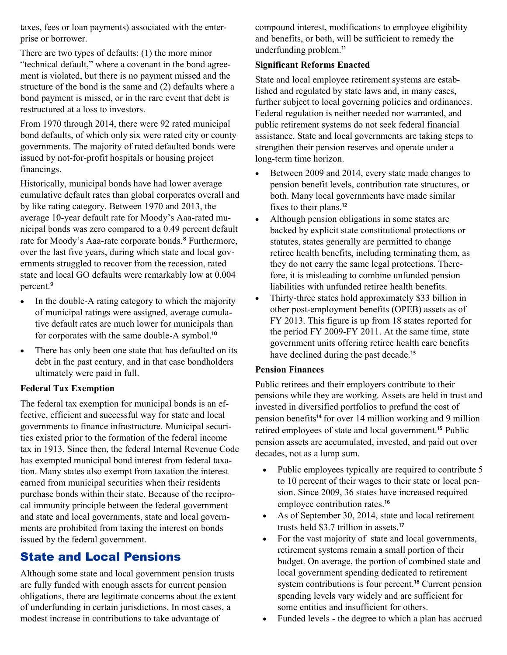taxes, fees or loan payments) associated with the enterprise or borrower.

There are two types of defaults: (1) the more minor "technical default," where a covenant in the bond agreement is violated, but there is no payment missed and the structure of the bond is the same and (2) defaults where a bond payment is missed, or in the rare event that debt is restructured at a loss to investors.

From 1970 through 2014, there were 92 rated municipal bond defaults, of which only six were rated city or county governments. The majority of rated defaulted bonds were issued by not-for-profit hospitals or housing project financings.

Historically, municipal bonds have had lower average cumulative default rates than global corporates overall and by like rating category. Between 1970 and 2013, the average 10-year default rate for Moody's Aaa-rated municipal bonds was zero compared to a 0.49 percent default rate for Moody's Aaa-rate corporate bonds.<sup>8</sup> Furthermore, over the last five years, during which state and local governments struggled to recover from the recession, rated state and local GO defaults were remarkably low at 0.004 percent.<sup>9</sup>

- In the double-A rating category to which the majority of municipal ratings were assigned, average cumulative default rates are much lower for municipals than for corporates with the same double-A symbol.<sup>10</sup>
- There has only been one state that has defaulted on its debt in the past century, and in that case bondholders ultimately were paid in full.

### **Federal Tax Exemption**

The federal tax exemption for municipal bonds is an effective, efficient and successful way for state and local governments to finance infrastructure. Municipal securities existed prior to the formation of the federal income tax in 1913. Since then, the federal Internal Revenue Code has exempted municipal bond interest from federal taxation. Many states also exempt from taxation the interest earned from municipal securities when their residents purchase bonds within their state. Because of the reciprocal immunity principle between the federal government and state and local governments, state and local governments are prohibited from taxing the interest on bonds issued by the federal government.

## State and Local Pensions

Although some state and local government pension trusts are fully funded with enough assets for current pension obligations, there are legitimate concerns about the extent of underfunding in certain jurisdictions. In most cases, a modest increase in contributions to take advantage of

compound interest, modifications to employee eligibility and benefits, or both, will be sufficient to remedy the underfunding problem.<sup>11</sup>

## **Significant Reforms Enacted**

State and local employee retirement systems are established and regulated by state laws and, in many cases, further subject to local governing policies and ordinances. Federal regulation is neither needed nor warranted, and public retirement systems do not seek federal financial assistance. State and local governments are taking steps to strengthen their pension reserves and operate under a long-term time horizon.

- Between 2009 and 2014, every state made changes to pension benefit levels, contribution rate structures, or both. Many local governments have made similar fixes to their plans.<sup>12</sup>
- Although pension obligations in some states are backed by explicit state constitutional protections or statutes, states generally are permitted to change retiree health benefits, including terminating them, as they do not carry the same legal protections. Therefore, it is misleading to combine unfunded pension liabilities with unfunded retiree health benefits.
- Thirty-three states hold approximately \$33 billion in other post-employment benefits (OPEB) assets as of FY 2013. This figure is up from 18 states reported for the period FY 2009-FY 2011. At the same time, state government units offering retiree health care benefits have declined during the past decade.<sup>13</sup>

### **Pension Finances**

Public retirees and their employers contribute to their pensions while they are working. Assets are held in trust and invested in diversified portfolios to prefund the cost of pension benefits<sup>14</sup> for over 14 million working and 9 million retired employees of state and local government.<sup>15</sup> Public pension assets are accumulated, invested, and paid out over decades, not as a lump sum.

- Public employees typically are required to contribute 5 to 10 percent of their wages to their state or local pension. Since 2009, 36 states have increased required employee contribution rates.<sup>16</sup>
- As of September 30, 2014, state and local retirement trusts held \$3.7 trillion in assets.<sup>17</sup>
- For the vast majority of state and local governments, retirement systems remain a small portion of their budget. On average, the portion of combined state and local government spending dedicated to retirement system contributions is four percent.<sup>18</sup> Current pension spending levels vary widely and are sufficient for some entities and insufficient for others.
- Funded levels the degree to which a plan has accrued